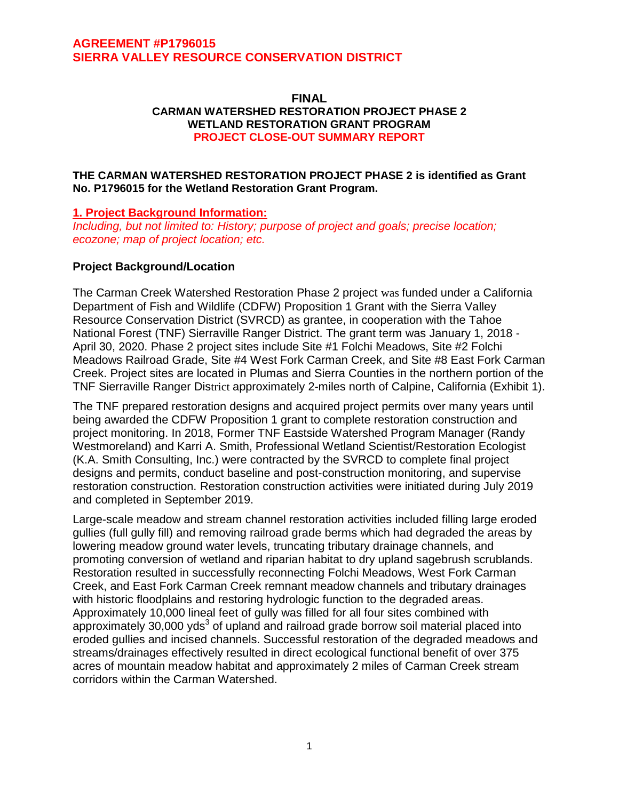#### **FINAL CARMAN WATERSHED RESTORATION PROJECT PHASE 2 WETLAND RESTORATION GRANT PROGRAM PROJECT CLOSE-OUT SUMMARY REPORT**

### **THE CARMAN WATERSHED RESTORATION PROJECT PHASE 2 is identified as Grant No. P1796015 for the Wetland Restoration Grant Program.**

### **1. Project Background Information:**

*Including, but not limited to: History; purpose of project and goals; precise location; ecozone; map of project location; etc.*

### **Project Background/Location**

The Carman Creek Watershed Restoration Phase 2 project was funded under a California Department of Fish and Wildlife (CDFW) Proposition 1 Grant with the Sierra Valley Resource Conservation District (SVRCD) as grantee, in cooperation with the Tahoe National Forest (TNF) Sierraville Ranger District. The grant term was January 1, 2018 - April 30, 2020. Phase 2 project sites include Site #1 Folchi Meadows, Site #2 Folchi Meadows Railroad Grade, Site #4 West Fork Carman Creek, and Site #8 East Fork Carman Creek. Project sites are located in Plumas and Sierra Counties in the northern portion of the TNF Sierraville Ranger District approximately 2-miles north of Calpine, California (Exhibit 1).

The TNF prepared restoration designs and acquired project permits over many years until being awarded the CDFW Proposition 1 grant to complete restoration construction and project monitoring. In 2018, Former TNF Eastside Watershed Program Manager (Randy Westmoreland) and Karri A. Smith, Professional Wetland Scientist/Restoration Ecologist (K.A. Smith Consulting, Inc.) were contracted by the SVRCD to complete final project designs and permits, conduct baseline and post-construction monitoring, and supervise restoration construction. Restoration construction activities were initiated during July 2019 and completed in September 2019.

Large-scale meadow and stream channel restoration activities included filling large eroded gullies (full gully fill) and removing railroad grade berms which had degraded the areas by lowering meadow ground water levels, truncating tributary drainage channels, and promoting conversion of wetland and riparian habitat to dry upland sagebrush scrublands. Restoration resulted in successfully reconnecting Folchi Meadows, West Fork Carman Creek, and East Fork Carman Creek remnant meadow channels and tributary drainages with historic floodplains and restoring hydrologic function to the degraded areas. Approximately 10,000 lineal feet of gully was filled for all four sites combined with approximately 30,000  $yds<sup>3</sup>$  of upland and railroad grade borrow soil material placed into eroded gullies and incised channels. Successful restoration of the degraded meadows and streams/drainages effectively resulted in direct ecological functional benefit of over 375 acres of mountain meadow habitat and approximately 2 miles of Carman Creek stream corridors within the Carman Watershed.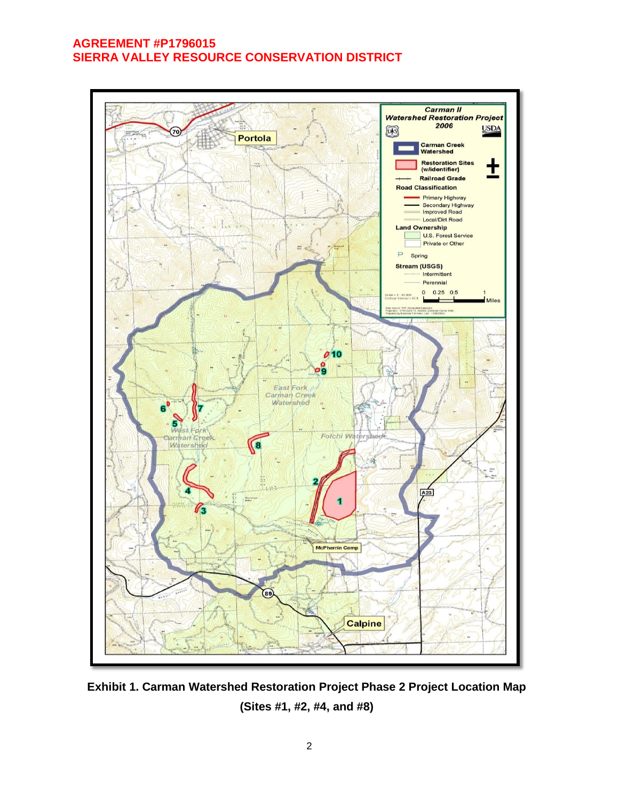

**Exhibit 1. Carman Watershed Restoration Project Phase 2 Project Location Map (Sites #1, #2, #4, and #8)**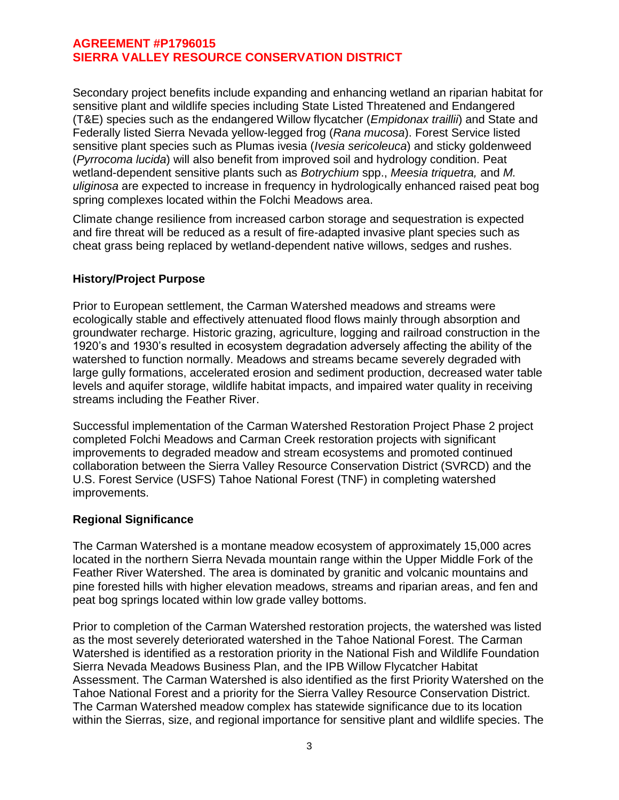Secondary project benefits include expanding and enhancing wetland an riparian habitat for sensitive plant and wildlife species including State Listed Threatened and Endangered (T&E) species such as the endangered Willow flycatcher (*Empidonax traillii*) and State and Federally listed Sierra Nevada yellow-legged frog (*Rana mucosa*). Forest Service listed sensitive plant species such as Plumas ivesia (*Ivesia sericoleuca*) and sticky goldenweed (*Pyrrocoma lucida*) will also benefit from improved soil and hydrology condition. Peat wetland-dependent sensitive plants such as *Botrychium* spp., *Meesia triquetra,* and *M. uliginosa* are expected to increase in frequency in hydrologically enhanced raised peat bog spring complexes located within the Folchi Meadows area.

Climate change resilience from increased carbon storage and sequestration is expected and fire threat will be reduced as a result of fire-adapted invasive plant species such as cheat grass being replaced by wetland-dependent native willows, sedges and rushes.

### **History/Project Purpose**

Prior to European settlement, the Carman Watershed meadows and streams were ecologically stable and effectively attenuated flood flows mainly through absorption and groundwater recharge. Historic grazing, agriculture, logging and railroad construction in the 1920's and 1930's resulted in ecosystem degradation adversely affecting the ability of the watershed to function normally. Meadows and streams became severely degraded with large gully formations, accelerated erosion and sediment production, decreased water table levels and aquifer storage, wildlife habitat impacts, and impaired water quality in receiving streams including the Feather River.

Successful implementation of the Carman Watershed Restoration Project Phase 2 project completed Folchi Meadows and Carman Creek restoration projects with significant improvements to degraded meadow and stream ecosystems and promoted continued collaboration between the Sierra Valley Resource Conservation District (SVRCD) and the U.S. Forest Service (USFS) Tahoe National Forest (TNF) in completing watershed improvements.

### **Regional Significance**

The Carman Watershed is a montane meadow ecosystem of approximately 15,000 acres located in the northern Sierra Nevada mountain range within the Upper Middle Fork of the Feather River Watershed. The area is dominated by granitic and volcanic mountains and pine forested hills with higher elevation meadows, streams and riparian areas, and fen and peat bog springs located within low grade valley bottoms.

Prior to completion of the Carman Watershed restoration projects, the watershed was listed as the most severely deteriorated watershed in the Tahoe National Forest. The Carman Watershed is identified as a restoration priority in the National Fish and Wildlife Foundation Sierra Nevada Meadows Business Plan, and the IPB Willow Flycatcher Habitat Assessment. The Carman Watershed is also identified as the first Priority Watershed on the Tahoe National Forest and a priority for the Sierra Valley Resource Conservation District. The Carman Watershed meadow complex has statewide significance due to its location within the Sierras, size, and regional importance for sensitive plant and wildlife species. The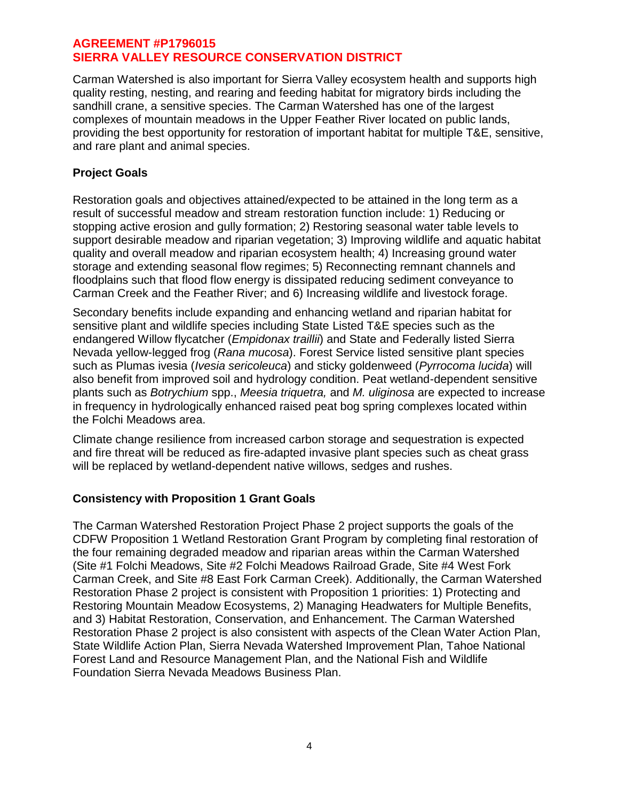Carman Watershed is also important for Sierra Valley ecosystem health and supports high quality resting, nesting, and rearing and feeding habitat for migratory birds including the sandhill crane, a sensitive species. The Carman Watershed has one of the largest complexes of mountain meadows in the Upper Feather River located on public lands, providing the best opportunity for restoration of important habitat for multiple T&E, sensitive, and rare plant and animal species.

## **Project Goals**

Restoration goals and objectives attained/expected to be attained in the long term as a result of successful meadow and stream restoration function include: 1) Reducing or stopping active erosion and gully formation; 2) Restoring seasonal water table levels to support desirable meadow and riparian vegetation; 3) Improving wildlife and aquatic habitat quality and overall meadow and riparian ecosystem health; 4) Increasing ground water storage and extending seasonal flow regimes; 5) Reconnecting remnant channels and floodplains such that flood flow energy is dissipated reducing sediment conveyance to Carman Creek and the Feather River; and 6) Increasing wildlife and livestock forage.

Secondary benefits include expanding and enhancing wetland and riparian habitat for sensitive plant and wildlife species including State Listed T&E species such as the endangered Willow flycatcher (*Empidonax traillii*) and State and Federally listed Sierra Nevada yellow-legged frog (*Rana mucosa*). Forest Service listed sensitive plant species such as Plumas ivesia (*Ivesia sericoleuca*) and sticky goldenweed (*Pyrrocoma lucida*) will also benefit from improved soil and hydrology condition. Peat wetland-dependent sensitive plants such as *Botrychium* spp., *Meesia triquetra,* and *M. uliginosa* are expected to increase in frequency in hydrologically enhanced raised peat bog spring complexes located within the Folchi Meadows area.

Climate change resilience from increased carbon storage and sequestration is expected and fire threat will be reduced as fire-adapted invasive plant species such as cheat grass will be replaced by wetland-dependent native willows, sedges and rushes.

## **Consistency with Proposition 1 Grant Goals**

The Carman Watershed Restoration Project Phase 2 project supports the goals of the CDFW Proposition 1 Wetland Restoration Grant Program by completing final restoration of the four remaining degraded meadow and riparian areas within the Carman Watershed (Site #1 Folchi Meadows, Site #2 Folchi Meadows Railroad Grade, Site #4 West Fork Carman Creek, and Site #8 East Fork Carman Creek). Additionally, the Carman Watershed Restoration Phase 2 project is consistent with Proposition 1 priorities: 1) Protecting and Restoring Mountain Meadow Ecosystems, 2) Managing Headwaters for Multiple Benefits, and 3) Habitat Restoration, Conservation, and Enhancement. The Carman Watershed Restoration Phase 2 project is also consistent with aspects of the Clean Water Action Plan, State Wildlife Action Plan, Sierra Nevada Watershed Improvement Plan, Tahoe National Forest Land and Resource Management Plan, and the National Fish and Wildlife Foundation Sierra Nevada Meadows Business Plan.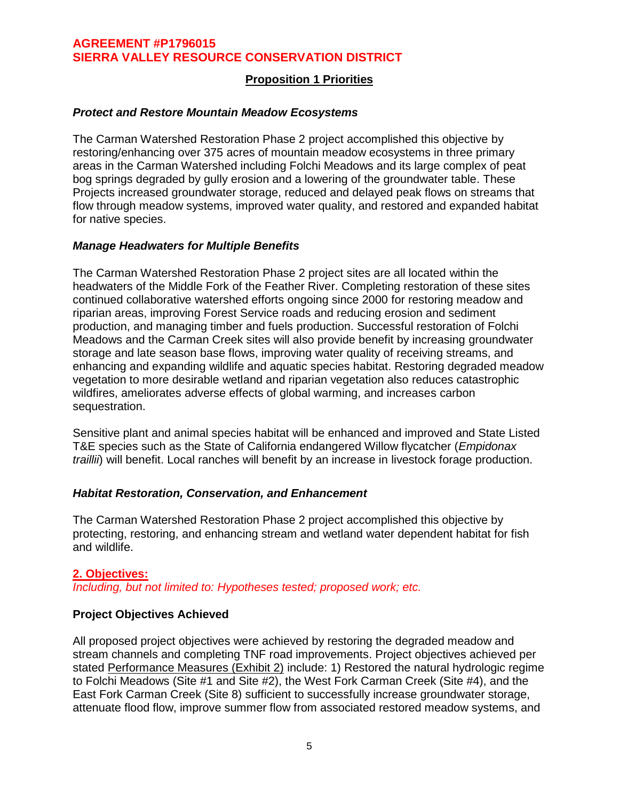## **Proposition 1 Priorities**

#### *Protect and Restore Mountain Meadow Ecosystems*

The Carman Watershed Restoration Phase 2 project accomplished this objective by restoring/enhancing over 375 acres of mountain meadow ecosystems in three primary areas in the Carman Watershed including Folchi Meadows and its large complex of peat bog springs degraded by gully erosion and a lowering of the groundwater table. These Projects increased groundwater storage, reduced and delayed peak flows on streams that flow through meadow systems, improved water quality, and restored and expanded habitat for native species.

#### *Manage Headwaters for Multiple Benefits*

The Carman Watershed Restoration Phase 2 project sites are all located within the headwaters of the Middle Fork of the Feather River. Completing restoration of these sites continued collaborative watershed efforts ongoing since 2000 for restoring meadow and riparian areas, improving Forest Service roads and reducing erosion and sediment production, and managing timber and fuels production. Successful restoration of Folchi Meadows and the Carman Creek sites will also provide benefit by increasing groundwater storage and late season base flows, improving water quality of receiving streams, and enhancing and expanding wildlife and aquatic species habitat. Restoring degraded meadow vegetation to more desirable wetland and riparian vegetation also reduces catastrophic wildfires, ameliorates adverse effects of global warming, and increases carbon sequestration.

Sensitive plant and animal species habitat will be enhanced and improved and State Listed T&E species such as the State of California endangered Willow flycatcher (*Empidonax traillii*) will benefit. Local ranches will benefit by an increase in livestock forage production.

### *Habitat Restoration, Conservation, and Enhancement*

The Carman Watershed Restoration Phase 2 project accomplished this objective by protecting, restoring, and enhancing stream and wetland water dependent habitat for fish and wildlife.

### **2. Objectives:**

*Including, but not limited to: Hypotheses tested; proposed work; etc.*

### **Project Objectives Achieved**

All proposed project objectives were achieved by restoring the degraded meadow and stream channels and completing TNF road improvements. Project objectives achieved per stated Performance Measures (Exhibit 2) include: 1) Restored the natural hydrologic regime to Folchi Meadows (Site #1 and Site #2), the West Fork Carman Creek (Site #4), and the East Fork Carman Creek (Site 8) sufficient to successfully increase groundwater storage, attenuate flood flow, improve summer flow from associated restored meadow systems, and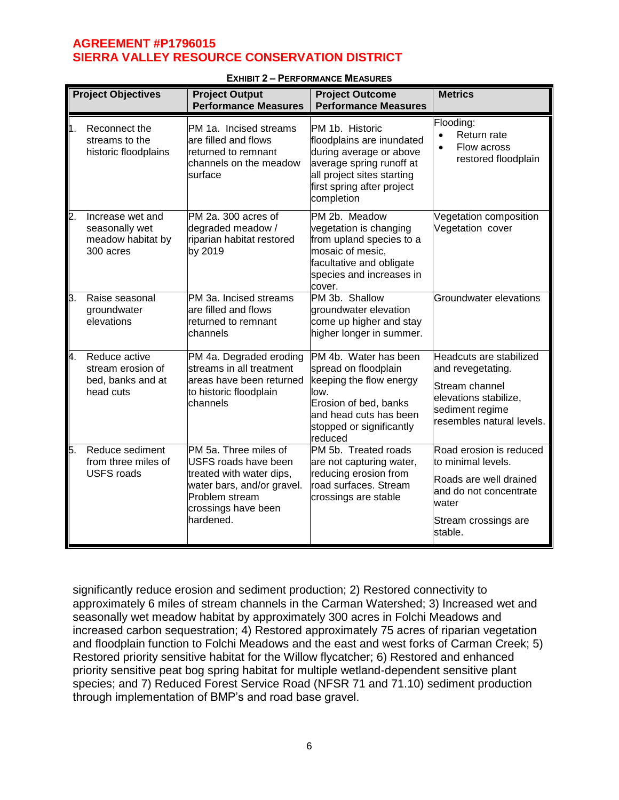|    | <b>Project Objectives</b>                                            | <b>Project Output</b><br><b>Performance Measures</b>                                                                                                                 | <b>Project Outcome</b><br><b>Performance Measures</b>                                                                                                                         | <b>Metrics</b>                                                                                                                                |
|----|----------------------------------------------------------------------|----------------------------------------------------------------------------------------------------------------------------------------------------------------------|-------------------------------------------------------------------------------------------------------------------------------------------------------------------------------|-----------------------------------------------------------------------------------------------------------------------------------------------|
| h. | Reconnect the<br>streams to the<br>historic floodplains              | PM 1a. Incised streams<br>are filled and flows<br>returned to remnant<br>channels on the meadow<br>surface                                                           | PM 1b. Historic<br>floodplains are inundated<br>during average or above<br>average spring runoff at<br>all project sites starting<br>first spring after project<br>completion | Flooding:<br>Return rate<br>$\bullet$<br>Flow across<br>$\bullet$<br>restored floodplain                                                      |
| 2. | Increase wet and<br>seasonally wet<br>meadow habitat by<br>300 acres | PM 2a. 300 acres of<br>degraded meadow /<br>riparian habitat restored<br>by 2019                                                                                     | PM 2b. Meadow<br>vegetation is changing<br>from upland species to a<br>mosaic of mesic,<br>facultative and obligate<br>species and increases in<br>cover.                     | Vegetation composition<br>Vegetation cover                                                                                                    |
| Β. | Raise seasonal<br>groundwater<br>elevations                          | PM 3a. Incised streams<br>are filled and flows<br>returned to remnant<br>channels                                                                                    | PM 3b. Shallow<br>groundwater elevation<br>come up higher and stay<br>higher longer in summer.                                                                                | Groundwater elevations                                                                                                                        |
| 4. | Reduce active<br>stream erosion of<br>bed, banks and at<br>head cuts | PM 4a. Degraded eroding<br>streams in all treatment<br>areas have been returned<br>to historic floodplain<br>channels                                                | PM 4b. Water has been<br>spread on floodplain<br>keeping the flow energy<br>low.<br>Erosion of bed, banks<br>and head cuts has been<br>stopped or significantly<br>reduced    | Headcuts are stabilized<br>and revegetating.<br>Stream channel<br>elevations stabilize,<br>sediment regime<br>resembles natural levels.       |
| Б. | Reduce sediment<br>from three miles of<br><b>USFS roads</b>          | PM 5a. Three miles of<br><b>USFS roads have been</b><br>treated with water dips,<br>water bars, and/or gravel.<br>Problem stream<br>crossings have been<br>hardened. | PM 5b. Treated roads<br>are not capturing water,<br>reducing erosion from<br>road surfaces. Stream<br>crossings are stable                                                    | Road erosion is reduced<br>to minimal levels.<br>Roads are well drained<br>and do not concentrate<br>water<br>Stream crossings are<br>stable. |

#### **EXHIBIT 2 – PERFORMANCE MEASURES**

significantly reduce erosion and sediment production; 2) Restored connectivity to approximately 6 miles of stream channels in the Carman Watershed; 3) Increased wet and seasonally wet meadow habitat by approximately 300 acres in Folchi Meadows and increased carbon sequestration; 4) Restored approximately 75 acres of riparian vegetation and floodplain function to Folchi Meadows and the east and west forks of Carman Creek; 5) Restored priority sensitive habitat for the Willow flycatcher; 6) Restored and enhanced priority sensitive peat bog spring habitat for multiple wetland-dependent sensitive plant species; and 7) Reduced Forest Service Road (NFSR 71 and 71.10) sediment production through implementation of BMP's and road base gravel.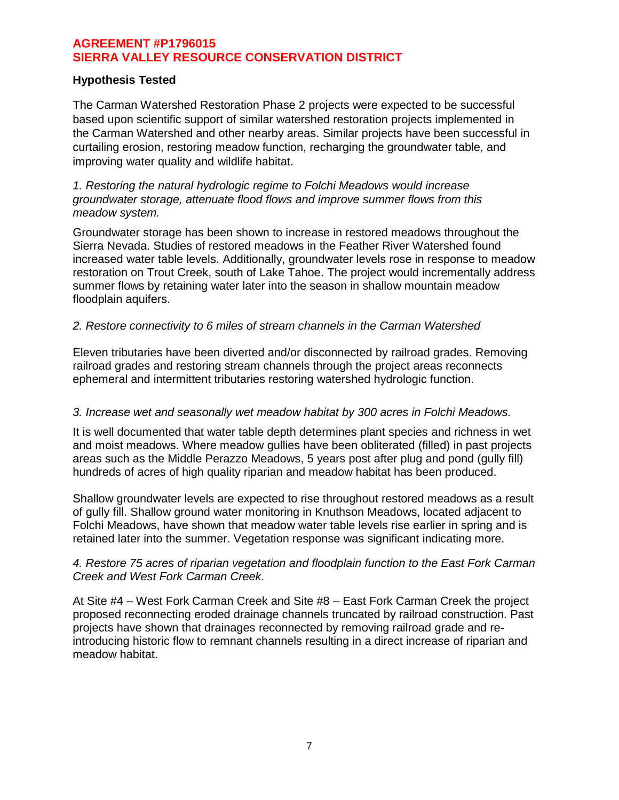### **Hypothesis Tested**

The Carman Watershed Restoration Phase 2 projects were expected to be successful based upon scientific support of similar watershed restoration projects implemented in the Carman Watershed and other nearby areas. Similar projects have been successful in curtailing erosion, restoring meadow function, recharging the groundwater table, and improving water quality and wildlife habitat.

#### *1. Restoring the natural hydrologic regime to Folchi Meadows would increase groundwater storage, attenuate flood flows and improve summer flows from this meadow system.*

Groundwater storage has been shown to increase in restored meadows throughout the Sierra Nevada. Studies of restored meadows in the Feather River Watershed found increased water table levels. Additionally, groundwater levels rose in response to meadow restoration on Trout Creek, south of Lake Tahoe. The project would incrementally address summer flows by retaining water later into the season in shallow mountain meadow floodplain aquifers.

### *2. Restore connectivity to 6 miles of stream channels in the Carman Watershed*

Eleven tributaries have been diverted and/or disconnected by railroad grades. Removing railroad grades and restoring stream channels through the project areas reconnects ephemeral and intermittent tributaries restoring watershed hydrologic function.

### *3. Increase wet and seasonally wet meadow habitat by 300 acres in Folchi Meadows.*

It is well documented that water table depth determines plant species and richness in wet and moist meadows. Where meadow gullies have been obliterated (filled) in past projects areas such as the Middle Perazzo Meadows, 5 years post after plug and pond (gully fill) hundreds of acres of high quality riparian and meadow habitat has been produced.

Shallow groundwater levels are expected to rise throughout restored meadows as a result of gully fill. Shallow ground water monitoring in Knuthson Meadows, located adjacent to Folchi Meadows, have shown that meadow water table levels rise earlier in spring and is retained later into the summer. Vegetation response was significant indicating more.

### *4. Restore 75 acres of riparian vegetation and floodplain function to the East Fork Carman Creek and West Fork Carman Creek.*

At Site #4 – West Fork Carman Creek and Site #8 – East Fork Carman Creek the project proposed reconnecting eroded drainage channels truncated by railroad construction. Past projects have shown that drainages reconnected by removing railroad grade and reintroducing historic flow to remnant channels resulting in a direct increase of riparian and meadow habitat.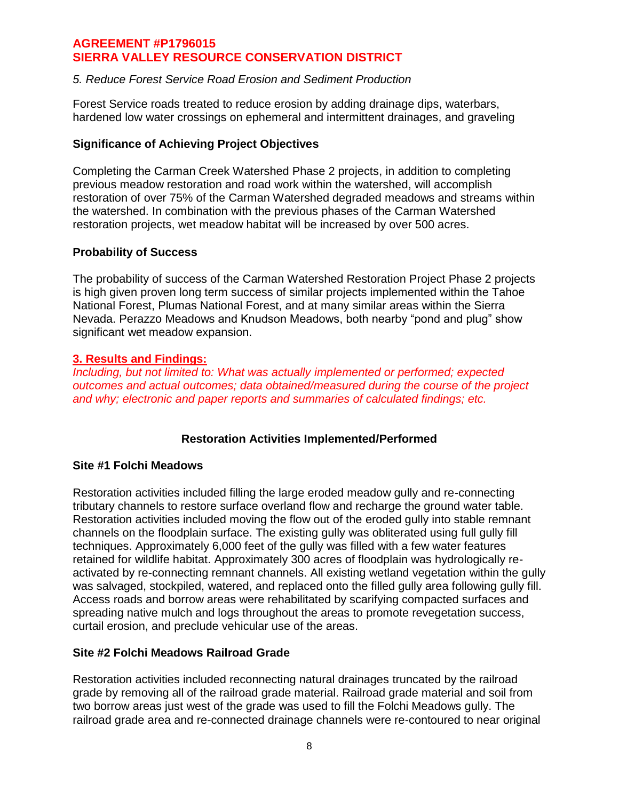### *5. Reduce Forest Service Road Erosion and Sediment Production*

Forest Service roads treated to reduce erosion by adding drainage dips, waterbars, hardened low water crossings on ephemeral and intermittent drainages, and graveling

### **Significance of Achieving Project Objectives**

Completing the Carman Creek Watershed Phase 2 projects, in addition to completing previous meadow restoration and road work within the watershed, will accomplish restoration of over 75% of the Carman Watershed degraded meadows and streams within the watershed. In combination with the previous phases of the Carman Watershed restoration projects, wet meadow habitat will be increased by over 500 acres.

### **Probability of Success**

The probability of success of the Carman Watershed Restoration Project Phase 2 projects is high given proven long term success of similar projects implemented within the Tahoe National Forest, Plumas National Forest, and at many similar areas within the Sierra Nevada. Perazzo Meadows and Knudson Meadows, both nearby "pond and plug" show significant wet meadow expansion.

### **3. Results and Findings:**

*Including, but not limited to: What was actually implemented or performed; expected outcomes and actual outcomes; data obtained/measured during the course of the project and why; electronic and paper reports and summaries of calculated findings; etc.*

## **Restoration Activities Implemented/Performed**

### **Site #1 Folchi Meadows**

Restoration activities included filling the large eroded meadow gully and re-connecting tributary channels to restore surface overland flow and recharge the ground water table. Restoration activities included moving the flow out of the eroded gully into stable remnant channels on the floodplain surface. The existing gully was obliterated using full gully fill techniques. Approximately 6,000 feet of the gully was filled with a few water features retained for wildlife habitat. Approximately 300 acres of floodplain was hydrologically reactivated by re-connecting remnant channels. All existing wetland vegetation within the gully was salvaged, stockpiled, watered, and replaced onto the filled gully area following gully fill. Access roads and borrow areas were rehabilitated by scarifying compacted surfaces and spreading native mulch and logs throughout the areas to promote revegetation success, curtail erosion, and preclude vehicular use of the areas.

## **Site #2 Folchi Meadows Railroad Grade**

Restoration activities included reconnecting natural drainages truncated by the railroad grade by removing all of the railroad grade material. Railroad grade material and soil from two borrow areas just west of the grade was used to fill the Folchi Meadows gully. The railroad grade area and re-connected drainage channels were re-contoured to near original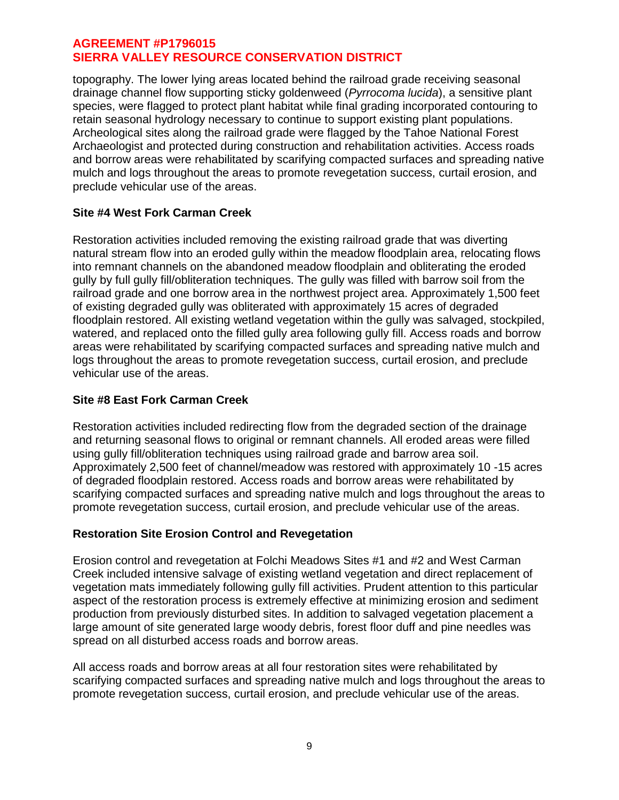topography. The lower lying areas located behind the railroad grade receiving seasonal drainage channel flow supporting sticky goldenweed (*Pyrrocoma lucida*), a sensitive plant species, were flagged to protect plant habitat while final grading incorporated contouring to retain seasonal hydrology necessary to continue to support existing plant populations. Archeological sites along the railroad grade were flagged by the Tahoe National Forest Archaeologist and protected during construction and rehabilitation activities. Access roads and borrow areas were rehabilitated by scarifying compacted surfaces and spreading native mulch and logs throughout the areas to promote revegetation success, curtail erosion, and preclude vehicular use of the areas.

## **Site #4 West Fork Carman Creek**

Restoration activities included removing the existing railroad grade that was diverting natural stream flow into an eroded gully within the meadow floodplain area, relocating flows into remnant channels on the abandoned meadow floodplain and obliterating the eroded gully by full gully fill/obliteration techniques. The gully was filled with barrow soil from the railroad grade and one borrow area in the northwest project area. Approximately 1,500 feet of existing degraded gully was obliterated with approximately 15 acres of degraded floodplain restored. All existing wetland vegetation within the gully was salvaged, stockpiled, watered, and replaced onto the filled gully area following gully fill. Access roads and borrow areas were rehabilitated by scarifying compacted surfaces and spreading native mulch and logs throughout the areas to promote revegetation success, curtail erosion, and preclude vehicular use of the areas.

# **Site #8 East Fork Carman Creek**

Restoration activities included redirecting flow from the degraded section of the drainage and returning seasonal flows to original or remnant channels. All eroded areas were filled using gully fill/obliteration techniques using railroad grade and barrow area soil. Approximately 2,500 feet of channel/meadow was restored with approximately 10 -15 acres of degraded floodplain restored. Access roads and borrow areas were rehabilitated by scarifying compacted surfaces and spreading native mulch and logs throughout the areas to promote revegetation success, curtail erosion, and preclude vehicular use of the areas.

## **Restoration Site Erosion Control and Revegetation**

Erosion control and revegetation at Folchi Meadows Sites #1 and #2 and West Carman Creek included intensive salvage of existing wetland vegetation and direct replacement of vegetation mats immediately following gully fill activities. Prudent attention to this particular aspect of the restoration process is extremely effective at minimizing erosion and sediment production from previously disturbed sites. In addition to salvaged vegetation placement a large amount of site generated large woody debris, forest floor duff and pine needles was spread on all disturbed access roads and borrow areas.

All access roads and borrow areas at all four restoration sites were rehabilitated by scarifying compacted surfaces and spreading native mulch and logs throughout the areas to promote revegetation success, curtail erosion, and preclude vehicular use of the areas.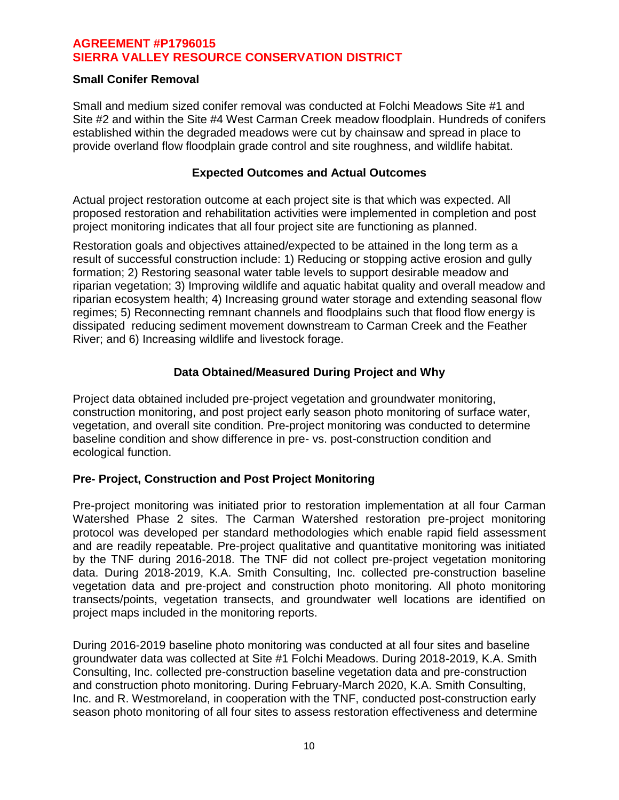### **Small Conifer Removal**

Small and medium sized conifer removal was conducted at Folchi Meadows Site #1 and Site #2 and within the Site #4 West Carman Creek meadow floodplain. Hundreds of conifers established within the degraded meadows were cut by chainsaw and spread in place to provide overland flow floodplain grade control and site roughness, and wildlife habitat.

### **Expected Outcomes and Actual Outcomes**

Actual project restoration outcome at each project site is that which was expected. All proposed restoration and rehabilitation activities were implemented in completion and post project monitoring indicates that all four project site are functioning as planned.

Restoration goals and objectives attained/expected to be attained in the long term as a result of successful construction include: 1) Reducing or stopping active erosion and gully formation; 2) Restoring seasonal water table levels to support desirable meadow and riparian vegetation; 3) Improving wildlife and aquatic habitat quality and overall meadow and riparian ecosystem health; 4) Increasing ground water storage and extending seasonal flow regimes; 5) Reconnecting remnant channels and floodplains such that flood flow energy is dissipated reducing sediment movement downstream to Carman Creek and the Feather River; and 6) Increasing wildlife and livestock forage.

## **Data Obtained/Measured During Project and Why**

Project data obtained included pre-project vegetation and groundwater monitoring, construction monitoring, and post project early season photo monitoring of surface water, vegetation, and overall site condition. Pre-project monitoring was conducted to determine baseline condition and show difference in pre- vs. post-construction condition and ecological function.

## **Pre- Project, Construction and Post Project Monitoring**

Pre-project monitoring was initiated prior to restoration implementation at all four Carman Watershed Phase 2 sites. The Carman Watershed restoration pre-project monitoring protocol was developed per standard methodologies which enable rapid field assessment and are readily repeatable. Pre-project qualitative and quantitative monitoring was initiated by the TNF during 2016-2018. The TNF did not collect pre-project vegetation monitoring data. During 2018-2019, K.A. Smith Consulting, Inc. collected pre-construction baseline vegetation data and pre-project and construction photo monitoring. All photo monitoring transects/points, vegetation transects, and groundwater well locations are identified on project maps included in the monitoring reports.

During 2016-2019 baseline photo monitoring was conducted at all four sites and baseline groundwater data was collected at Site #1 Folchi Meadows. During 2018-2019, K.A. Smith Consulting, Inc. collected pre-construction baseline vegetation data and pre-construction and construction photo monitoring. During February-March 2020, K.A. Smith Consulting, Inc. and R. Westmoreland, in cooperation with the TNF, conducted post-construction early season photo monitoring of all four sites to assess restoration effectiveness and determine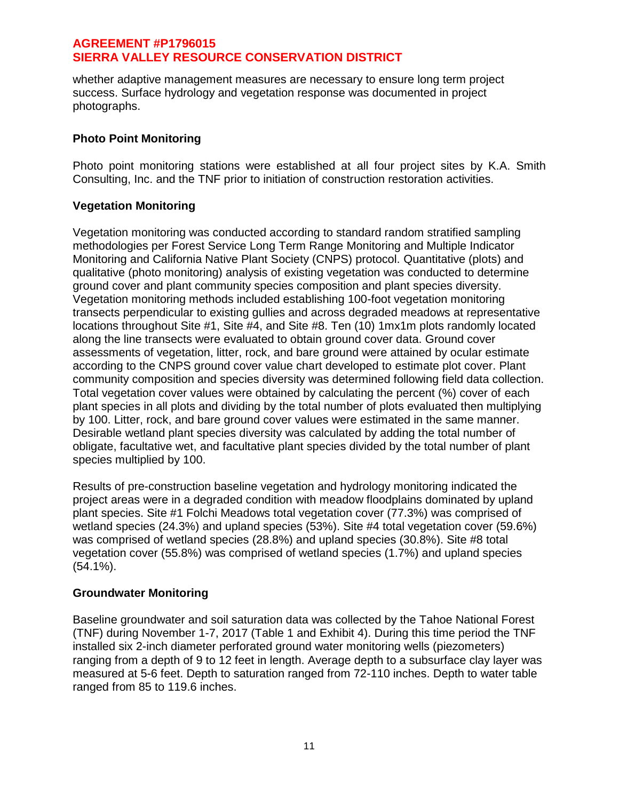whether adaptive management measures are necessary to ensure long term project success. Surface hydrology and vegetation response was documented in project photographs.

## **Photo Point Monitoring**

Photo point monitoring stations were established at all four project sites by K.A. Smith Consulting, Inc. and the TNF prior to initiation of construction restoration activities.

# **Vegetation Monitoring**

Vegetation monitoring was conducted according to standard random stratified sampling methodologies per Forest Service Long Term Range Monitoring and Multiple Indicator Monitoring and California Native Plant Society (CNPS) protocol. Quantitative (plots) and qualitative (photo monitoring) analysis of existing vegetation was conducted to determine ground cover and plant community species composition and plant species diversity. Vegetation monitoring methods included establishing 100-foot vegetation monitoring transects perpendicular to existing gullies and across degraded meadows at representative locations throughout Site #1, Site #4, and Site #8. Ten (10) 1mx1m plots randomly located along the line transects were evaluated to obtain ground cover data. Ground cover assessments of vegetation, litter, rock, and bare ground were attained by ocular estimate according to the CNPS ground cover value chart developed to estimate plot cover. Plant community composition and species diversity was determined following field data collection. Total vegetation cover values were obtained by calculating the percent (%) cover of each plant species in all plots and dividing by the total number of plots evaluated then multiplying by 100. Litter, rock, and bare ground cover values were estimated in the same manner. Desirable wetland plant species diversity was calculated by adding the total number of obligate, facultative wet, and facultative plant species divided by the total number of plant species multiplied by 100.

Results of pre-construction baseline vegetation and hydrology monitoring indicated the project areas were in a degraded condition with meadow floodplains dominated by upland plant species. Site #1 Folchi Meadows total vegetation cover (77.3%) was comprised of wetland species (24.3%) and upland species (53%). Site #4 total vegetation cover (59.6%) was comprised of wetland species (28.8%) and upland species (30.8%). Site #8 total vegetation cover (55.8%) was comprised of wetland species (1.7%) and upland species (54.1%).

## **Groundwater Monitoring**

Baseline groundwater and soil saturation data was collected by the Tahoe National Forest (TNF) during November 1-7, 2017 (Table 1 and Exhibit 4). During this time period the TNF installed six 2-inch diameter perforated ground water monitoring wells (piezometers) ranging from a depth of 9 to 12 feet in length. Average depth to a subsurface clay layer was measured at 5-6 feet. Depth to saturation ranged from 72-110 inches. Depth to water table ranged from 85 to 119.6 inches.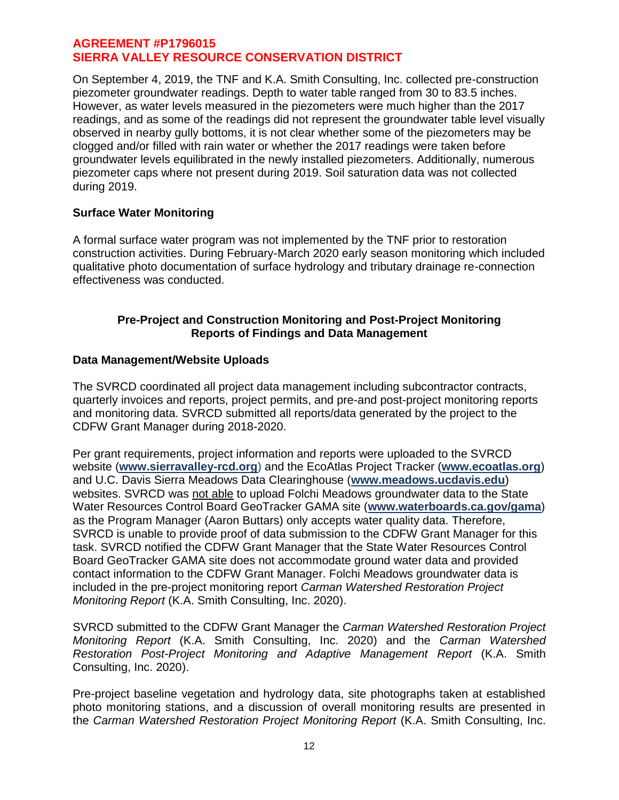On September 4, 2019, the TNF and K.A. Smith Consulting, Inc. collected pre-construction piezometer groundwater readings. Depth to water table ranged from 30 to 83.5 inches. However, as water levels measured in the piezometers were much higher than the 2017 readings, and as some of the readings did not represent the groundwater table level visually observed in nearby gully bottoms, it is not clear whether some of the piezometers may be clogged and/or filled with rain water or whether the 2017 readings were taken before groundwater levels equilibrated in the newly installed piezometers. Additionally, numerous piezometer caps where not present during 2019. Soil saturation data was not collected during 2019.

## **Surface Water Monitoring**

A formal surface water program was not implemented by the TNF prior to restoration construction activities. During February-March 2020 early season monitoring which included qualitative photo documentation of surface hydrology and tributary drainage re-connection effectiveness was conducted.

### **Pre-Project and Construction Monitoring and Post-Project Monitoring Reports of Findings and Data Management**

## **Data Management/Website Uploads**

The SVRCD coordinated all project data management including subcontractor contracts, quarterly invoices and reports, project permits, and pre-and post-project monitoring reports and monitoring data. SVRCD submitted all reports/data generated by the project to the CDFW Grant Manager during 2018-2020.

Per grant requirements, project information and reports were uploaded to the SVRCD website (**[www.sierravalley-rcd.org](http://www.sierravalley-rcd.org/)**) and the EcoAtlas Project Tracker (**www.ecoatlas.org**) and U.C. Davis Sierra Meadows Data Clearinghouse (**[www.meadows.ucdavis.edu](http://www.meadows.ucdavis.edu/)**) websites. SVRCD was not able to upload Folchi Meadows groundwater data to the State Water Resources Control Board GeoTracker GAMA site (**www.waterboards.ca.gov/gama**) as the Program Manager (Aaron Buttars) only accepts water quality data. Therefore, SVRCD is unable to provide proof of data submission to the CDFW Grant Manager for this task. SVRCD notified the CDFW Grant Manager that the State Water Resources Control Board GeoTracker GAMA site does not accommodate ground water data and provided contact information to the CDFW Grant Manager. Folchi Meadows groundwater data is included in the pre-project monitoring report *Carman Watershed Restoration Project Monitoring Report* (K.A. Smith Consulting, Inc. 2020).

SVRCD submitted to the CDFW Grant Manager the *Carman Watershed Restoration Project Monitoring Report* (K.A. Smith Consulting, Inc. 2020) and the *Carman Watershed Restoration Post-Project Monitoring and Adaptive Management Report* (K.A. Smith Consulting, Inc. 2020).

Pre-project baseline vegetation and hydrology data, site photographs taken at established photo monitoring stations, and a discussion of overall monitoring results are presented in the *Carman Watershed Restoration Project Monitoring Report* (K.A. Smith Consulting, Inc.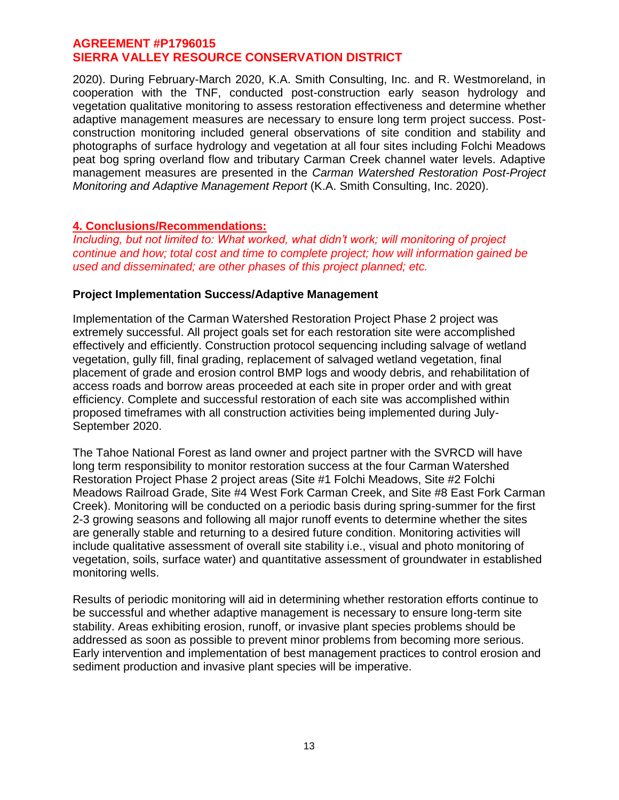2020). During February-March 2020, K.A. Smith Consulting, Inc. and R. Westmoreland, in cooperation with the TNF, conducted post-construction early season hydrology and vegetation qualitative monitoring to assess restoration effectiveness and determine whether adaptive management measures are necessary to ensure long term project success. Postconstruction monitoring included general observations of site condition and stability and photographs of surface hydrology and vegetation at all four sites including Folchi Meadows peat bog spring overland flow and tributary Carman Creek channel water levels. Adaptive management measures are presented in the *Carman Watershed Restoration Post-Project Monitoring and Adaptive Management Report* (K.A. Smith Consulting, Inc. 2020).

### **4. Conclusions/Recommendations:**

*Including, but not limited to: What worked, what didn't work; will monitoring of project continue and how; total cost and time to complete project; how will information gained be used and disseminated; are other phases of this project planned; etc.*

### **Project Implementation Success/Adaptive Management**

Implementation of the Carman Watershed Restoration Project Phase 2 project was extremely successful. All project goals set for each restoration site were accomplished effectively and efficiently. Construction protocol sequencing including salvage of wetland vegetation, gully fill, final grading, replacement of salvaged wetland vegetation, final placement of grade and erosion control BMP logs and woody debris, and rehabilitation of access roads and borrow areas proceeded at each site in proper order and with great efficiency. Complete and successful restoration of each site was accomplished within proposed timeframes with all construction activities being implemented during July-September 2020.

The Tahoe National Forest as land owner and project partner with the SVRCD will have long term responsibility to monitor restoration success at the four Carman Watershed Restoration Project Phase 2 project areas (Site #1 Folchi Meadows, Site #2 Folchi Meadows Railroad Grade, Site #4 West Fork Carman Creek, and Site #8 East Fork Carman Creek). Monitoring will be conducted on a periodic basis during spring-summer for the first 2-3 growing seasons and following all major runoff events to determine whether the sites are generally stable and returning to a desired future condition. Monitoring activities will include qualitative assessment of overall site stability i.e., visual and photo monitoring of vegetation, soils, surface water) and quantitative assessment of groundwater in established monitoring wells.

Results of periodic monitoring will aid in determining whether restoration efforts continue to be successful and whether adaptive management is necessary to ensure long-term site stability. Areas exhibiting erosion, runoff, or invasive plant species problems should be addressed as soon as possible to prevent minor problems from becoming more serious. Early intervention and implementation of best management practices to control erosion and sediment production and invasive plant species will be imperative.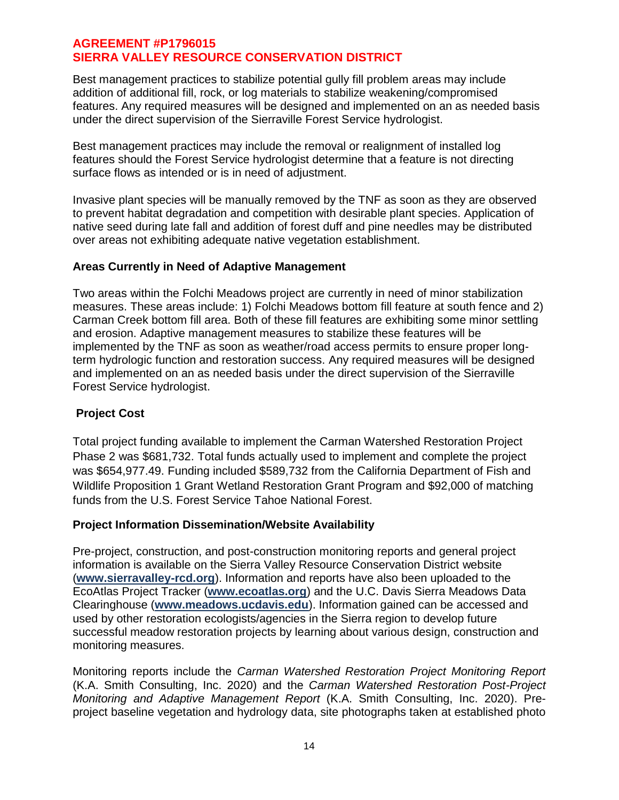Best management practices to stabilize potential gully fill problem areas may include addition of additional fill, rock, or log materials to stabilize weakening/compromised features. Any required measures will be designed and implemented on an as needed basis under the direct supervision of the Sierraville Forest Service hydrologist.

Best management practices may include the removal or realignment of installed log features should the Forest Service hydrologist determine that a feature is not directing surface flows as intended or is in need of adjustment.

Invasive plant species will be manually removed by the TNF as soon as they are observed to prevent habitat degradation and competition with desirable plant species. Application of native seed during late fall and addition of forest duff and pine needles may be distributed over areas not exhibiting adequate native vegetation establishment.

## **Areas Currently in Need of Adaptive Management**

Two areas within the Folchi Meadows project are currently in need of minor stabilization measures. These areas include: 1) Folchi Meadows bottom fill feature at south fence and 2) Carman Creek bottom fill area. Both of these fill features are exhibiting some minor settling and erosion. Adaptive management measures to stabilize these features will be implemented by the TNF as soon as weather/road access permits to ensure proper longterm hydrologic function and restoration success. Any required measures will be designed and implemented on an as needed basis under the direct supervision of the Sierraville Forest Service hydrologist.

## **Project Cost**

Total project funding available to implement the Carman Watershed Restoration Project Phase 2 was \$681,732. Total funds actually used to implement and complete the project was \$654,977.49. Funding included \$589,732 from the California Department of Fish and Wildlife Proposition 1 Grant Wetland Restoration Grant Program and \$92,000 of matching funds from the U.S. Forest Service Tahoe National Forest.

## **Project Information Dissemination/Website Availability**

Pre-project, construction, and post-construction monitoring reports and general project information is available on the Sierra Valley Resource Conservation District website (**www.sierravalley-rcd.org**). Information and reports have also been uploaded to the EcoAtlas Project Tracker (**www.ecoatlas.org**) and the U.C. Davis Sierra Meadows Data Clearinghouse (**[www.meadows.ucdavis.edu](http://www.meadows.ucdavis.edu/)**). Information gained can be accessed and used by other restoration ecologists/agencies in the Sierra region to develop future successful meadow restoration projects by learning about various design, construction and monitoring measures.

Monitoring reports include the *Carman Watershed Restoration Project Monitoring Report* (K.A. Smith Consulting, Inc. 2020) and the *Carman Watershed Restoration Post-Project Monitoring and Adaptive Management Report* (K.A. Smith Consulting, Inc. 2020). Preproject baseline vegetation and hydrology data, site photographs taken at established photo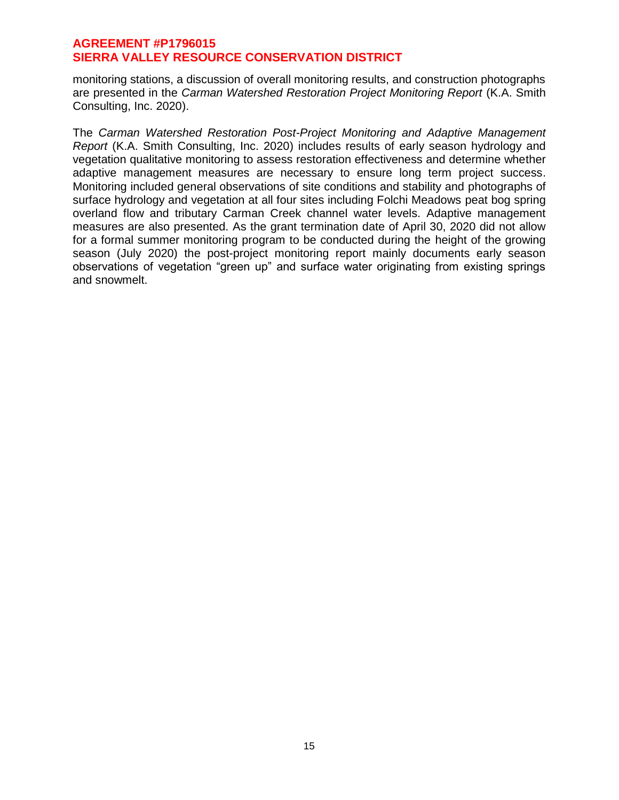monitoring stations, a discussion of overall monitoring results, and construction photographs are presented in the *Carman Watershed Restoration Project Monitoring Report* (K.A. Smith Consulting, Inc. 2020).

The *Carman Watershed Restoration Post-Project Monitoring and Adaptive Management Report* (K.A. Smith Consulting, Inc. 2020) includes results of early season hydrology and vegetation qualitative monitoring to assess restoration effectiveness and determine whether adaptive management measures are necessary to ensure long term project success. Monitoring included general observations of site conditions and stability and photographs of surface hydrology and vegetation at all four sites including Folchi Meadows peat bog spring overland flow and tributary Carman Creek channel water levels. Adaptive management measures are also presented. As the grant termination date of April 30, 2020 did not allow for a formal summer monitoring program to be conducted during the height of the growing season (July 2020) the post-project monitoring report mainly documents early season observations of vegetation "green up" and surface water originating from existing springs and snowmelt.